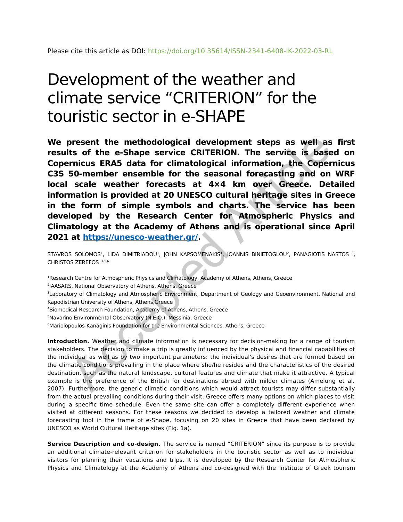## Development of the weather and climate service "CRITERION" for the touristic sector in e-SHAPE

**We present the methodological development steps as well as first results of the e-Shape service CRITERION. The service is based on Copernicus ERA5 data for climatological information, the Copernicus C3S 50-member ensemble for the seasonal forecasting and on WRF local scale weather forecasts at 4×4 km over Greece. Detailed information is provided at 20 UNESCO cultural heritage sites in Greece in the form of simple symbols and charts. The service has been developed by the Research Center for Atmospheric Physics and Climatology at the Academy of Athens and is operational since April 2021 at https://unesco-weather.gr/. Dressent the metho[d](https://unesco-weather.gr/)ological development steps as well as<br>
the of the e-Shape service CRITERION. The service is base<br>
trimicus ERAS data for chimatological information, the Coper<br>
5D-member ensemble for the seasonal foreca** 

STAVROS SOLOMOS<sup>1</sup>, LIDA DIMITRIADOU<sup>1</sup>, JOHN KAPSOMENAKIS<sup>1</sup>, IOANNIS BINIETOGLOU<sup>2</sup>, PANAGIOTIS NASTOS<sup>1,3</sup>, CHRISTOS ZEREFOS<sup>1,4,5,6</sup>

<sup>1</sup>Research Centre for Atmospheric Physics and Climatology, Academy of Athens, Athens, Greece

2 IAASARS, National Observatory of Athens, Athens, Greece

<sup>3</sup>Laboratory of Climatology and Atmospheric Environment, Department of Geology and Geoenvironment, National and Kapodistrian University of Athens, Athens,Greece

<sup>4</sup>Biomedical Research Foundation, Academy of Athens, Athens, Greece

<sup>5</sup>Navarino Environmental Observatory (N.E.O.), Messinia, Greece

<sup>6</sup>Mariolopoulos-Kanaginis Foundation for the Environmental Sciences, Athens, Greece

**Introduction.** Weather and climate information is necessary for decision-making for a range of tourism stakeholders. The decision to make a trip is greatly influenced by the physical and financial capabilities of the individual as well as by two important parameters: the individual's desires that are formed based on the climatic conditions prevailing in the place where she/he resides and the characteristics of the desired destination, such as the natural landscape, cultural features and climate that make it attractive. A typical example is the preference of the British for destinations abroad with milder climates (Amelung et al. 2007). Furthermore, the generic climatic conditions which would attract tourists may differ substantially from the actual prevailing conditions during their visit. Greece offers many options on which places to visit during a specific time schedule. Even the same site can offer a completely different experience when visited at different seasons. For these reasons we decided to develop a tailored weather and climate forecasting tool in the frame of e-Shape, focusing on 20 sites in Greece that have been declared by UNESCO as World Cultural Heritage sites (Fig. 1a).

**Service Description and co-design.** The service is named "CRITERION" since its purpose is to provide an additional climate-relevant criterion for stakeholders in the touristic sector as well as to individual visitors for planning their vacations and trips. It is developed by the Research Center for Atmospheric Physics and Climatology at the Academy of Athens and co-designed with the Institute of Greek tourism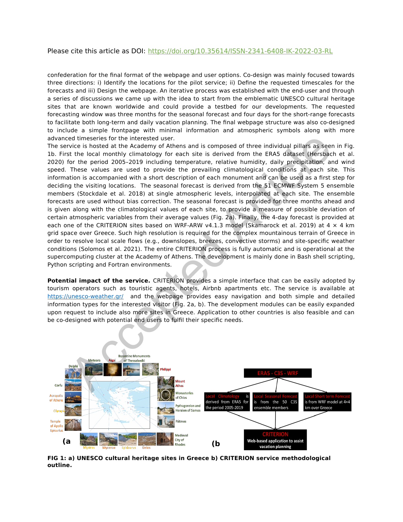Please cite this article as DOI: https://doi.org/10.35614/ISSN-2341-6408-IK-2022-03-RL

confederation for the final format of the webpage and user options. Co-design was mainly focused towards three directions: i) Identify the locations for the pilot service; ii) Define the requested timescales for the forecasts and iii) Design the webpage. An iterative process was established with the end-user and through a series of discussions we came up with the idea to start from the emblematic UNESCO cultural heritage sites that are known worldwide and could provide a testbed for our developments. The requested forecasting window was three months for the seasonal forecast and four days for the short-range forecasts to facilitate both long-term and daily vacation planning. The final webpage structure was also co-designed to include a simple frontpage with minimal information and atmospheric symbols along with more advanced timeseries for the interested user.

The service is hosted at the Academy of Athens and is composed of three individual pillars as seen in Fig. 1b. First the local monthly climatology for each site is derived from the ERA5 dataset (Hersbach et al. 2020) for the period 2005–2019 including temperature, relative humidity, daily precipitation, and wind speed. These values are used to provide the prevailing climatological conditions at each site. This information is accompanied with a short description of each monument and can be used as a first step for deciding the visiting locations. The seasonal forecast is derived from the 51 ECMWF System 5 ensemble members (Stockdale et al. 2018) at single atmospheric levels, interpolated at each site. The ensemble forecasts are used without bias correction. The seasonal forecast is provided for three months ahead and is given along with the climatological values of each site, to provide a measure of possible deviation of certain atmospheric variables from their average values (Fig. 2a). Finally, the 4-day forecast is provided at each one of the CRITERION sites based on WRF-ARW v4.1.3 model (Skamarock et al. 2019) at 4 × 4 km grid space over Greece. Such high resolution is required for the complex mountainous terrain of Greece in order to resolve local scale flows (e.g., downslopes, breezes, convective storms) and site-specific weather conditions (Solomos et al. 2021). The entire CRITERION process is fully automatic and is operational at the supercomputing cluster at the Academy of Athens. The development is mainly done in Bash shell scripting, Python scripting and Fortran environments. ed timeseries for the interested user.<br>The contribution of the state of the conduction of the same and is composed of three individual pillars as seen<br>the local monthly climatology for each site is derived from the ERAS da

**Potential impact of the service.** CRITERION provides a simple interface that can be easily adopted by tourism operators such as touristic agents, hotels, Airbnb apartments etc. The service is available at https://unesco-weather.gr/ and the webpage provides easy navigation and both simple and detailed information types for the interested visitor (Fig. 2a, b). The development modules can be easily expanded upon request to include also more sites in Greece. Application to other countries is also feasible and can be co-designed with potential end users to fulfil their specific needs.



**FIG 1: a) UNESCO cultural heritage sites in Greece b) CRITERION service methodological outline.**